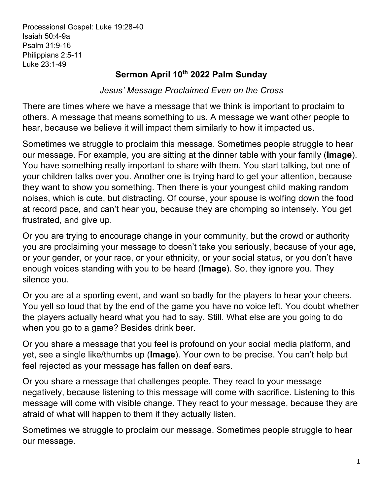Processional Gospel: Luke 19:28-40 Isaiah 50:4-9a Psalm 31:9-16 Philippians 2:5-11 Luke 23:1-49

## **Sermon April 10th 2022 Palm Sunday**

*Jesus' Message Proclaimed Even on the Cross*

There are times where we have a message that we think is important to proclaim to others. A message that means something to us. A message we want other people to hear, because we believe it will impact them similarly to how it impacted us.

Sometimes we struggle to proclaim this message. Sometimes people struggle to hear our message. For example, you are sitting at the dinner table with your family (**Image**). You have something really important to share with them. You start talking, but one of your children talks over you. Another one is trying hard to get your attention, because they want to show you something. Then there is your youngest child making random noises, which is cute, but distracting. Of course, your spouse is wolfing down the food at record pace, and can't hear you, because they are chomping so intensely. You get frustrated, and give up.

Or you are trying to encourage change in your community, but the crowd or authority you are proclaiming your message to doesn't take you seriously, because of your age, or your gender, or your race, or your ethnicity, or your social status, or you don't have enough voices standing with you to be heard (**Image**). So, they ignore you. They silence you.

Or you are at a sporting event, and want so badly for the players to hear your cheers. You yell so loud that by the end of the game you have no voice left. You doubt whether the players actually heard what you had to say. Still. What else are you going to do when you go to a game? Besides drink beer.

Or you share a message that you feel is profound on your social media platform, and yet, see a single like/thumbs up (**Image**). Your own to be precise. You can't help but feel rejected as your message has fallen on deaf ears.

Or you share a message that challenges people. They react to your message negatively, because listening to this message will come with sacrifice. Listening to this message will come with visible change. They react to your message, because they are afraid of what will happen to them if they actually listen.

Sometimes we struggle to proclaim our message. Sometimes people struggle to hear our message.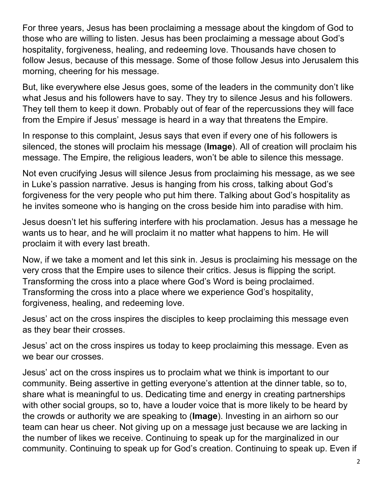For three years, Jesus has been proclaiming a message about the kingdom of God to those who are willing to listen. Jesus has been proclaiming a message about God's hospitality, forgiveness, healing, and redeeming love. Thousands have chosen to follow Jesus, because of this message. Some of those follow Jesus into Jerusalem this morning, cheering for his message.

But, like everywhere else Jesus goes, some of the leaders in the community don't like what Jesus and his followers have to say. They try to silence Jesus and his followers. They tell them to keep it down. Probably out of fear of the repercussions they will face from the Empire if Jesus' message is heard in a way that threatens the Empire.

In response to this complaint, Jesus says that even if every one of his followers is silenced, the stones will proclaim his message (**Image**). All of creation will proclaim his message. The Empire, the religious leaders, won't be able to silence this message.

Not even crucifying Jesus will silence Jesus from proclaiming his message, as we see in Luke's passion narrative. Jesus is hanging from his cross, talking about God's forgiveness for the very people who put him there. Talking about God's hospitality as he invites someone who is hanging on the cross beside him into paradise with him.

Jesus doesn't let his suffering interfere with his proclamation. Jesus has a message he wants us to hear, and he will proclaim it no matter what happens to him. He will proclaim it with every last breath.

Now, if we take a moment and let this sink in. Jesus is proclaiming his message on the very cross that the Empire uses to silence their critics. Jesus is flipping the script. Transforming the cross into a place where God's Word is being proclaimed. Transforming the cross into a place where we experience God's hospitality, forgiveness, healing, and redeeming love.

Jesus' act on the cross inspires the disciples to keep proclaiming this message even as they bear their crosses.

Jesus' act on the cross inspires us today to keep proclaiming this message. Even as we bear our crosses.

Jesus' act on the cross inspires us to proclaim what we think is important to our community. Being assertive in getting everyone's attention at the dinner table, so to, share what is meaningful to us. Dedicating time and energy in creating partnerships with other social groups, so to, have a louder voice that is more likely to be heard by the crowds or authority we are speaking to (**Image**). Investing in an airhorn so our team can hear us cheer. Not giving up on a message just because we are lacking in the number of likes we receive. Continuing to speak up for the marginalized in our community. Continuing to speak up for God's creation. Continuing to speak up. Even if